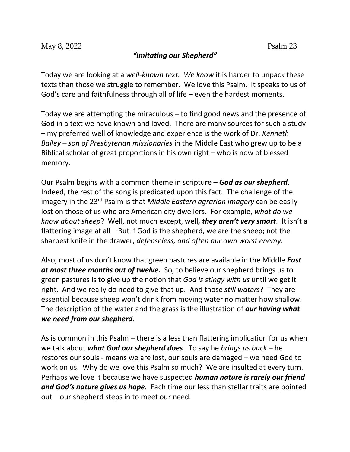## *"Imitating our Shepherd"*

Today we are looking at a *well-known text. We know* it is harder to unpack these texts than those we struggle to remember. We love this Psalm. It speaks to us of God's care and faithfulness through all of life – even the hardest moments.

Today we are attempting the miraculous – to find good news and the presence of God in a text we have known and loved. There are many sources for such a study – my preferred well of knowledge and experience is the work of Dr. *Kenneth Bailey – son of Presbyterian missionaries* in the Middle East who grew up to be a Biblical scholar of great proportions in his own right – who is now of blessed memory.

Our Psalm begins with a common theme in scripture – *God as our shepherd*. Indeed, the rest of the song is predicated upon this fact. The challenge of the imagery in the 23rd Psalm is that *Middle Eastern agrarian imagery* can be easily lost on those of us who are American city dwellers. For example, *what do we know about sheep*? Well, not much except, well*, they aren't very smart*. It isn't a flattering image at all – But if God is the shepherd, we are the sheep; not the sharpest knife in the drawer, *defenseless, and often our own worst enemy.*

Also, most of us don't know that green pastures are available in the Middle *East at most three months out of twelve.* So, to believe our shepherd brings us to green pastures is to give up the notion that *God is stingy with us* until we get it right. And we really do need to give that up. And those *still waters*? They are essential because sheep won't drink from moving water no matter how shallow. The description of the water and the grass is the illustration of *our having what we need from our shepherd*.

As is common in this Psalm – there is a less than flattering implication for us when we talk about *what God our shepherd does*. To say he *brings us back* – he restores our souls - means we are lost, our souls are damaged – we need God to work on us. Why do we love this Psalm so much? We are insulted at every turn. Perhaps we love it because we have suspected *human nature is rarely our friend and God's nature gives us hope.* Each time our less than stellar traits are pointed out – our shepherd steps in to meet our need.